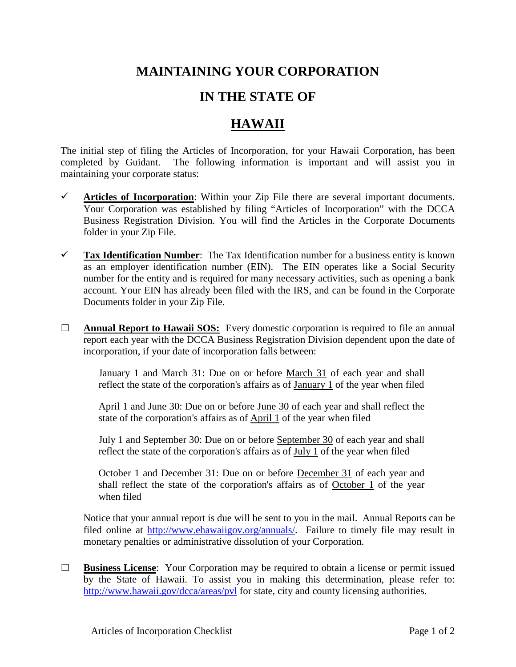## **MAINTAINING YOUR CORPORATION**

## **IN THE STATE OF**

## **HAWAII**

The initial step of filing the Articles of Incorporation, for your Hawaii Corporation, has been completed by Guidant. The following information is important and will assist you in maintaining your corporate status:

- $\checkmark$  Articles of Incorporation: Within your Zip File there are several important documents. Your Corporation was established by filing "Articles of Incorporation" with the DCCA Business Registration Division. You will find the Articles in the Corporate Documents folder in your Zip File.
- **Tax Identification Number**: The Tax Identification number for a business entity is known as an employer identification number (EIN). The EIN operates like a Social Security number for the entity and is required for many necessary activities, such as opening a bank account. Your EIN has already been filed with the IRS, and can be found in the Corporate Documents folder in your Zip File.
- **□ Annual Report to Hawaii SOS:** Every domestic corporation is required to file an annual report each year with the DCCA Business Registration Division dependent upon the date of incorporation, if your date of incorporation falls between:

January 1 and March 31: Due on or before March 31 of each year and shall reflect the state of the corporation's affairs as of January 1 of the year when filed

April 1 and June 30: Due on or before June 30 of each year and shall reflect the state of the corporation's affairs as of April 1 of the year when filed

July 1 and September 30: Due on or before September 30 of each year and shall reflect the state of the corporation's affairs as of July 1 of the year when filed

October 1 and December 31: Due on or before December 31 of each year and shall reflect the state of the corporation's affairs as of October 1 of the year when filed

Notice that your annual report is due will be sent to you in the mail. Annual Reports can be filed online at [http://www.ehawaiigov.org/annuals/.](http://www.ehawaiigov.org/annuals/) Failure to timely file may result in monetary penalties or administrative dissolution of your Corporation.

**□ Business License**: Your Corporation may be required to obtain a license or permit issued by the State of Hawaii. To assist you in making this determination, please refer to: <http://www.hawaii.gov/dcca/areas/pvl> for state, city and county licensing authorities.